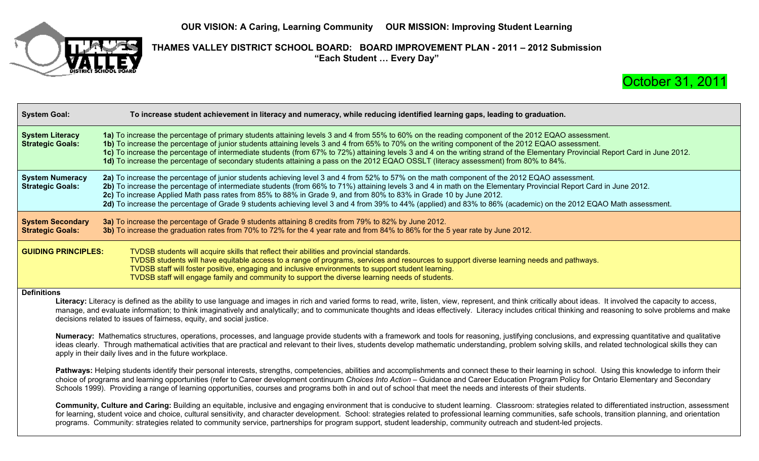

**THAMES VALLEY DISTRICT SCHOOL BOARD: BOARD IMPROVEMENT PLAN - 2011 – 2012 Submission** "Each Student ... Every Day"



| <b>System Goal:</b>                                                                                                                                                                                                                                                                                                                                                                                                                                                                                                                                                                         | To increase student achievement in literacy and numeracy, while reducing identified learning gaps, leading to graduation.                                                                                                                                                                                                                                                                                                                                                                                                                                                                                                                                                                                     |  |  |  |  |  |  |
|---------------------------------------------------------------------------------------------------------------------------------------------------------------------------------------------------------------------------------------------------------------------------------------------------------------------------------------------------------------------------------------------------------------------------------------------------------------------------------------------------------------------------------------------------------------------------------------------|---------------------------------------------------------------------------------------------------------------------------------------------------------------------------------------------------------------------------------------------------------------------------------------------------------------------------------------------------------------------------------------------------------------------------------------------------------------------------------------------------------------------------------------------------------------------------------------------------------------------------------------------------------------------------------------------------------------|--|--|--|--|--|--|
| <b>System Literacy</b><br><b>Strategic Goals:</b>                                                                                                                                                                                                                                                                                                                                                                                                                                                                                                                                           | 1a) To increase the percentage of primary students attaining levels 3 and 4 from 55% to 60% on the reading component of the 2012 EQAO assessment.<br>1b) To increase the percentage of junior students attaining levels 3 and 4 from 65% to 70% on the writing component of the 2012 EQAO assessment.<br>1c) To increase the percentage of intermediate students (from 67% to 72%) attaining levels 3 and 4 on the writing strand of the Elementary Provincial Report Card in June 2012.<br>1d) To increase the percentage of secondary students attaining a pass on the 2012 EQAO OSSLT (literacy assessment) from 80% to 84%.                                                                               |  |  |  |  |  |  |
| <b>System Numeracy</b><br><b>Strategic Goals:</b>                                                                                                                                                                                                                                                                                                                                                                                                                                                                                                                                           | 2a) To increase the percentage of junior students achieving level 3 and 4 from 52% to 57% on the math component of the 2012 EQAO assessment.<br>2b) To increase the percentage of intermediate students (from 66% to 71%) attaining levels 3 and 4 in math on the Elementary Provincial Report Card in June 2012.<br>2c) To increase Applied Math pass rates from 85% to 88% in Grade 9, and from 80% to 83% in Grade 10 by June 2012.<br>2d) To increase the percentage of Grade 9 students achieving level 3 and 4 from 39% to 44% (applied) and 83% to 86% (academic) on the 2012 EQAO Math assessment.                                                                                                    |  |  |  |  |  |  |
| <b>System Secondary</b><br><b>Strategic Goals:</b>                                                                                                                                                                                                                                                                                                                                                                                                                                                                                                                                          | 3a) To increase the percentage of Grade 9 students attaining 8 credits from 79% to 82% by June 2012.<br>3b) To increase the graduation rates from 70% to 72% for the 4 year rate and from 84% to 86% for the 5 year rate by June 2012.                                                                                                                                                                                                                                                                                                                                                                                                                                                                        |  |  |  |  |  |  |
| <b>GUIDING PRINCIPLES:</b>                                                                                                                                                                                                                                                                                                                                                                                                                                                                                                                                                                  | TVDSB students will acquire skills that reflect their abilities and provincial standards.<br>TVDSB students will have equitable access to a range of programs, services and resources to support diverse learning needs and pathways.<br>TVDSB staff will foster positive, engaging and inclusive environments to support student learning.<br>TVDSB staff will engage family and community to support the diverse learning needs of students.                                                                                                                                                                                                                                                                |  |  |  |  |  |  |
| <b>Definitions</b>                                                                                                                                                                                                                                                                                                                                                                                                                                                                                                                                                                          | Literacy: Literacy is defined as the ability to use language and images in rich and varied forms to read, write, listen, view, represent, and think critically about ideas. It involved the capacity to access,<br>manage, and evaluate information; to think imaginatively and analytically; and to communicate thoughts and ideas effectively. Literacy includes critical thinking and reasoning to solve problems and make<br>decisions related to issues of fairness, equity, and social justice.<br>Numeracy: Mathematics structures, operations, processes, and language provide students with a framework and tools for reasoning, justifying conclusions, and expressing quantitative and qualitative |  |  |  |  |  |  |
| ideas clearly. Through mathematical activities that are practical and relevant to their lives, students develop mathematic understanding, problem solving skills, and related technological skills they can<br>apply in their daily lives and in the future workplace.                                                                                                                                                                                                                                                                                                                      |                                                                                                                                                                                                                                                                                                                                                                                                                                                                                                                                                                                                                                                                                                               |  |  |  |  |  |  |
|                                                                                                                                                                                                                                                                                                                                                                                                                                                                                                                                                                                             | Pathways: Helping students identify their personal interests, strengths, competencies, abilities and accomplishments and connect these to their learning in school. Using this knowledge to inform their<br>choice of programs and learning opportunities (refer to Career development continuum Choices Into Action - Guidance and Career Education Program Policy for Ontario Elementary and Secondary<br>Schools 1999). Providing a range of learning opportunities, courses and programs both in and out of school that meet the needs and interests of their students.                                                                                                                                   |  |  |  |  |  |  |
| Community, Culture and Caring: Building an equitable, inclusive and engaging environment that is conducive to student learning. Classroom: strategies related to differentiated instruction, assessment<br>for learning, student voice and choice, cultural sensitivity, and character development. School: strategies related to professional learning communities, safe schools, transition planning, and orientation<br>programs. Community: strategies related to community service, partnerships for program support, student leadership, community outreach and student-led projects. |                                                                                                                                                                                                                                                                                                                                                                                                                                                                                                                                                                                                                                                                                                               |  |  |  |  |  |  |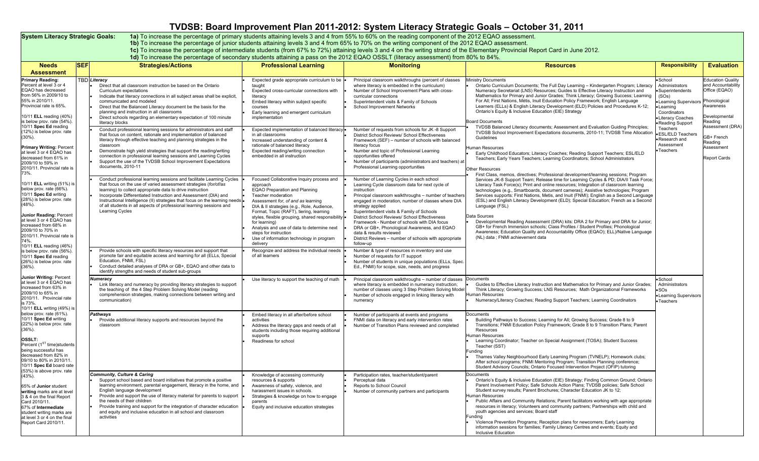## **TVDSB: Board Improvement Plan 2011-2012: System Literacy Strategic Goals – October 31, 2011**

System Literacy Strategic Goals: 1a) To increase the percentage of primary students attaining levels 3 and 4 from 55% to 60% on the reading component of the 2012 EQAO assessment.<br>1b) To increase the percentage of junior st

1c) To increase the percentage of intermediate students (from 67% to 72%) attaining levels 3 and 4 on the writing strand of the Elementary Provincial Report Card in June 2012.<br>1d) To increase the percentage of secondary st

| <b>Needs</b><br><b>Assessment</b>                                                                                                                                                                                                                                                               | <b>SEF</b> | <b>Strategies/Actions</b>                                                                                                                                                                                                                                                                                                                                                                                                                                                                 | <b>Professional Learning</b>                                                                                                                                                                                                                                                                                                                                                                                                                             | <b>Monitoring</b>                                                                                                                                                                                                                                                                                                                                                                                                                                                                                                                            | <b>Resources</b>                                                                                                                                                                                                                                                                                                                                                                                                                                                                                                                                                                                                                                                                                                                                                                                 | <b>Responsibility</b>                                                                                                                                         | <b>Evaluation</b>                                                                                        |
|-------------------------------------------------------------------------------------------------------------------------------------------------------------------------------------------------------------------------------------------------------------------------------------------------|------------|-------------------------------------------------------------------------------------------------------------------------------------------------------------------------------------------------------------------------------------------------------------------------------------------------------------------------------------------------------------------------------------------------------------------------------------------------------------------------------------------|----------------------------------------------------------------------------------------------------------------------------------------------------------------------------------------------------------------------------------------------------------------------------------------------------------------------------------------------------------------------------------------------------------------------------------------------------------|----------------------------------------------------------------------------------------------------------------------------------------------------------------------------------------------------------------------------------------------------------------------------------------------------------------------------------------------------------------------------------------------------------------------------------------------------------------------------------------------------------------------------------------------|--------------------------------------------------------------------------------------------------------------------------------------------------------------------------------------------------------------------------------------------------------------------------------------------------------------------------------------------------------------------------------------------------------------------------------------------------------------------------------------------------------------------------------------------------------------------------------------------------------------------------------------------------------------------------------------------------------------------------------------------------------------------------------------------------|---------------------------------------------------------------------------------------------------------------------------------------------------------------|----------------------------------------------------------------------------------------------------------|
| <b>Primary Reading:</b><br>Percent at level 3 or 4<br>EQAO has decreased<br>from 56% in 2009/10 to<br>55% in 2010/11.<br>Provincial rate is 65%<br>10/11 ELL reading (40%)<br>is below prov. rate (54%).                                                                                        |            | <b>TBD</b> Literacy<br>Direct that all classroom instruction be based on the Ontario<br>Curriculum expectations<br>Indicate that literacy connections in all subject areas shall be explicit,<br>communicated and modeled<br>Direct that the Balanced Literacy document be the basis for the<br>planning and instruction in all classrooms<br>Direct schools regarding an elementary expectation of 100 minute<br>literacy blocks                                                         | Expected grade appropriate curriculum to be<br>taught<br>Expected cross-curricular connections with<br>literacy<br>Embed literacy within subject specific<br>courses<br>Early learning and emergent curriculum<br>implementation                                                                                                                                                                                                                         | Principal classroom walkthroughs (percent of classes<br>where literacy is embedded in the curriculum)<br>Number of School Improvement Plans with cross-<br>curricular connections<br>Superintendent visits & Family of Schools<br>School Improvement Networks                                                                                                                                                                                                                                                                                | <b>Ainistry Documents</b><br>Ontario Curriculum Documents; The Full Day Learning - Kindergarten Program; Literacy<br>Numeracy Secretariat (LNS) Resources; Guides to Effective Literacy Instruction and<br>Mathematics for Primary and Junior Grades; Think Literacy; Growing Success; Learning<br>For All: First Nations, Métis, Inuit Education Policy Framework: English Language<br>Learners (ELLs) & English Literacy Development (ELD) Policies and Procedures K-12;<br>Ontario's Equity & Inclusive Education (EIE) Strategy<br><b>Board Documents</b>                                                                                                                                                                                                                                    | School<br>Administrators<br>Superintendents<br>(SOS)<br>Learning Supervisors Phonological<br>Learning<br>Coordinators<br>·Literacy Coaches<br>Reading Support | <b>Education Quality</b><br>and Accountability<br>Office (EQAO)<br>Awareness<br>Developmental<br>Reading |
| 10/11 Spec Ed reading<br>(12%) is below prov. rate<br>$(30\%)$ .<br><b>Primary Writing: Percent</b><br>at level 3 or 4 EQAO has<br>decreased from 61% in<br>2009/10 to 59% in<br>2010/11. Provincial rate is<br>73%.                                                                            |            | Conduct professional learning sessions for administrators and staff<br>that focus on content, rationale and implementation of balanced<br>literacy through effective teaching and planning strategies in the<br>classroom<br>Demonstrate high yield strategies that support the reading/writing<br>connection in professional learning sessions and Learning Cycles<br>Support the use of the TVDSB School Improvement Expectations<br>documents, 2010-11                                 | Expected implementation of balanced literacy<br>in all classrooms<br>Increased understanding of content &<br>rationale of balanced literacy<br>Expected reading/writing connection<br>embedded in all instruction                                                                                                                                                                                                                                        | Number of requests from schools for JK-8 Support<br>District School Reviews/ School Effectiveness<br>Framework (SEF) - number of schools with balanced<br>literacy focus<br>Number and topic of Professional Learning<br>opportunities offered<br>Number of participants (administrators and teachers) at<br>Professional Learning opportunities                                                                                                                                                                                             | TVDSB Balanced Literacy documents; Assessment and Evaluation Guiding Principles;<br>TVDSB School Improvement Expectations documents, 2010-11; TVDSB Time Allocation<br>Guidelines<br>Human Resources<br>Early Childhood Educators; Literacy Coaches; Reading Support Teachers; ESL/ELD<br>Teachers; Early Years Teachers; Learning Coordinators; School Administrators<br>Other Resources<br>First Class, memos, directives; Professional development/learning sessions; Program                                                                                                                                                                                                                                                                                                                 | Teachers<br><b>ESL/ELD Teachers</b><br>·Research and<br>Assessment<br>• Teachers                                                                              | Assessment (DRA)<br>GB+ French<br>Reading<br>Assessment<br><b>Report Cards</b>                           |
| 10/11 ELL writing (51%) is<br>below prov. rate (66%).<br>10/11 Spec Ed writing<br>(28%) is below prov. rate<br>$(48%)$ .<br>Junior Reading: Percent<br>at level 3 or 4 EQAO has<br>increased from 68% in<br>2009/10 to 70% in<br>2010/11. Provincial rate is<br>74%.<br>10/11 ELL reading (46%) |            | Conduct professional learning sessions and facilitate Learning Cycles<br>that focus on the use of varied assessment strategies (for/of/as<br>learning) to collect appropriate data to drive instruction<br>Incorporate Differentiated Instruction and Assessment (DIA) and<br>Instructional Intelligence (II) strategies that focus on the learning needs<br>of all students in all aspects of professional learning sessions and<br><b>Learning Cycles</b>                               | Focused Collaborative Inquiry process and<br>approach<br><b>EQAO Preparation and Planning</b><br>Teacher moderation<br>Assessment for, of and as learning<br>DIA & Il strategies (e.g., Role, Audience,<br>Format, Topic (RAFT), tiering, learning<br>styles, flexible grouping, shared responsibility .<br>for learning)<br>Analysis and use of data to determine next<br>steps for instruction<br>Use of information technology in program<br>delivery | Number of Learning Cycles in each school<br>Learning Cycle classroom data for next cycle of<br>instruction<br>Principal classroom walkthroughs - number of teachers<br>engaged in moderation, number of classes where DIA<br>strategy applied<br>Superintendent visits & Family of Schools<br>District School Reviews/ School Effectiveness<br>Framework - Number of schools with DIA focus<br>DRA or GB+, Phonological Awareness, and EQAO<br>data & results reviewed<br>District Reviews - number of schools with appropriate<br>follow-up | Services JK-8 Support Team; Release time for Learning Cycles & PD; DIA/II Task Force;<br>Literacy Task Force(s); Print and online resources; Integration of classroom learning<br>technologies (e.g., Smartboards, document cameras); Assistive technologies; Program<br>Services supports: First Nations, Metis, and Inuit (FNMI); English as a Second Language<br>(ESL) and English Literacy Development (ELD); Special Education; French as a Second<br>Language (FSL)<br>Data Sources<br>Developmental Reading Assessment (DRA) kits: DRA 2 for Primary and DRA for Junior;<br>GB+ for French Immersion schools; Class Profiles / Student Profiles; Phonological<br>Awareness; Education Quality and Accountability Office (EQAO); ELL)/Native Language<br>(NL) data ; FNMI achievement data |                                                                                                                                                               |                                                                                                          |
| is below prov. rate (56%).<br>10/11 Spec Ed reading<br>(26%) is below prov. rate<br>$(36\%)$ .                                                                                                                                                                                                  |            | Provide schools with specific literacy resources and support that<br>promote fair and equitable access and learning for all (ELLs, Special<br>Education, FNMI, FSL)<br>Conduct detailed analyses of DRA or GB+, EQAO and other data to<br>identify strengths and needs of student sub-groups                                                                                                                                                                                              | Recognize and address the individual needs<br>of all learners                                                                                                                                                                                                                                                                                                                                                                                            | Number & type of resources in inventory and use<br>Number of requests for IT support<br>Number of students in unique populations (ELLs, Spec.<br>Ed., FNMI) for scope, size, needs, and progress                                                                                                                                                                                                                                                                                                                                             |                                                                                                                                                                                                                                                                                                                                                                                                                                                                                                                                                                                                                                                                                                                                                                                                  |                                                                                                                                                               |                                                                                                          |
| Junior Writing: Percent<br>at level 3 or 4 EQAO has<br>increased from 63% in<br>2009/10 to 65% in<br>2010/11. Provincial rate<br>is 73%.<br>10/11 ELL writing (49%) is                                                                                                                          |            | Numeracy<br>Link literacy and numeracy by providing literacy strategies to support<br>the teaching of the 4 Step Problem Solving Model (reading<br>comprehension strategies, making connections between writing and<br>communication)                                                                                                                                                                                                                                                     | Use literacy to support the teaching of math                                                                                                                                                                                                                                                                                                                                                                                                             | Principal classroom walkthroughs - number of classes<br>where literacy is embedded in numeracy instruction;<br>number of classes using 3 Step Problem Solving Model<br>Number of schools engaged in linking literacy with<br>numeracy                                                                                                                                                                                                                                                                                                        | Documents<br>Guides to Effective Literacy Instruction and Mathematics for Primary and Junior Grades<br>Think Literacy; Growing Success; LNS Resources; Math Organizational Frameworks<br>Human Resources<br>Numeracy/Literacy Coaches; Reading Support Teachers; Learning Coordinators                                                                                                                                                                                                                                                                                                                                                                                                                                                                                                           | School<br>Administrators<br>$\bullet$ SOs<br>• Learning Supervisors<br>• Teachers                                                                             |                                                                                                          |
| below prov. rate (61%).<br>10/11 Spec Ed writing<br>(22%) is below prov. rate<br>(36%).<br>OSSI T:<br>Percent (1 <sup>ST</sup> time) students<br>being successful has<br>decreased from 82% in<br>09/10 to 80% in 2010/11<br>10/11 Spec Ed board rate<br>(53%) is above prov. rate              |            | Pathways<br>Provide additional literacy supports and resources beyond the<br>classroom                                                                                                                                                                                                                                                                                                                                                                                                    | Embed literacy in all after/before school<br>activities<br>Address the literacy gaps and needs of all<br>students including those requiring additional<br>supports<br>Readiness for school                                                                                                                                                                                                                                                               | Number of participants at events and programs<br>FNMI data on literacy and early intervention rates<br>Number of Transition Plans reviewed and completed                                                                                                                                                                                                                                                                                                                                                                                     | Documents<br>Building Pathways to Success; Learning for All; Growing Success; Grade 8 to 9<br>Transitions; FNMI Education Policy Framework; Grade 8 to 9 Transition Plans; Parent<br>Resources<br>Human Resources<br>Learning Coordinator; Teacher on Special Assignment (TOSA); Student Success<br>Teacher (SST)<br>unding<br>Thames Valley Neighbourhood Early Learning Program (TVNELP); Homework clubs;<br>After school programs; FNMI Mentoring Program; Transition Planning conference;<br>Student Advisory Councils; Ontario Focused Intervention Project (OFIP) tutoring                                                                                                                                                                                                                 |                                                                                                                                                               |                                                                                                          |
| $(43%)$ .<br>65% of Junior student<br>writing marks are at level<br>3 & 4 on the final Report<br>Card 2010/11.<br>67% of Intermediate<br>student writing marks are<br>at level 3 or 4 on the final<br>Report Card 2010/11.                                                                      |            | <b>Community, Culture &amp; Caring</b><br>Support school based and board initiatives that promote a positive<br>learning environment, parental engagement, literacy in the home, and<br>English language development<br>Provide and support the use of literacy material for parents to support<br>the needs of their children<br>Provide training and support for the integration of character education<br>and equity and inclusive education in all school and classroom<br>activities | Knowledge of accessing community<br>resources & supports<br>Awareness of safety, violence, and<br>harassment issues in schools.<br>Strategies & knowledge on how to engage<br>parents<br>Equity and inclusive education strategies                                                                                                                                                                                                                       | Participation rates, teacher/student/parent<br>Perceptual data<br>Reports to School Council<br>Number of community partners and participants                                                                                                                                                                                                                                                                                                                                                                                                 | Documents<br>Ontario's Equity & Inclusive Education (EIE) Strategy; Finding Common Ground; Ontario<br>Parent Involvement Policy; Safe Schools Action Plans; TVDSB policies; Safe School<br>Student survey results; Parent Brochures; Character Education JK to 12;<br>Human Resources<br>Public Affairs and Community Relations; Parent facilitators working with age appropriate<br>resources in literacy; Volunteers and community partners; Partnerships with child and<br>youth agencies and services; Board staff<br>unding<br>Violence Prevention Programs; Reception plans for newcomers; Early Learning<br>information sessions for families; Family Literacy Centres and events; Equity and<br>Inclusive Education                                                                      |                                                                                                                                                               |                                                                                                          |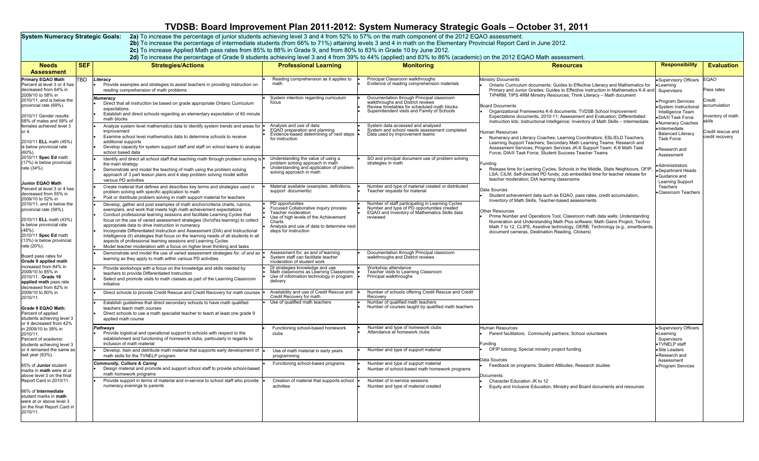## **TVDSB: Board Improvement Plan 2011-2012: System Numeracy Strategic Goals – October 31, 2011**

S**ystem Numeracy Strategic Goals: 2a)** To increase the percentage of junior students achieving level 3 and 4 from 52% to 57% on the math component of the 2012 EQAO assessment.<br>2b) To increase the percentage of intermediate

2c) To increase Applied Math pass rates from 85% to 88% in Grade 9, and from 80% to 83% in Grade 10 by June 2012.<br>2d) To increase the percentage of Grade 9 students achieving level 3 and 4 from 39% to 44% (applied) and 83%

| <b>Needs</b><br><b>Assessment</b>                                                                                                                                                                                                                                                                               | <b>SEF</b> | <b>Strategies/Actions</b>                                                                                                                                                                                                                                                                                                                                                                                                                                                                                                                                                                                                                                                                                                                                                                                                                                                                                                                                                                                                                                                 | <b>Professional Learning</b>                                                                                                                                                                                                                                                                                        | <b>Monitoring</b>                                                                                                                                                            | <b>Resources</b>                                                                                                                                                                                                                                                                                                                                                                                                                                                                                                                                                                                                                                                                                                                                                                                                                                           | <b>Responsibility</b>                                                                                  | <b>Evaluation</b>                                                                           |                                                                                                                                             |                                                                    |
|-----------------------------------------------------------------------------------------------------------------------------------------------------------------------------------------------------------------------------------------------------------------------------------------------------------------|------------|---------------------------------------------------------------------------------------------------------------------------------------------------------------------------------------------------------------------------------------------------------------------------------------------------------------------------------------------------------------------------------------------------------------------------------------------------------------------------------------------------------------------------------------------------------------------------------------------------------------------------------------------------------------------------------------------------------------------------------------------------------------------------------------------------------------------------------------------------------------------------------------------------------------------------------------------------------------------------------------------------------------------------------------------------------------------------|---------------------------------------------------------------------------------------------------------------------------------------------------------------------------------------------------------------------------------------------------------------------------------------------------------------------|------------------------------------------------------------------------------------------------------------------------------------------------------------------------------|------------------------------------------------------------------------------------------------------------------------------------------------------------------------------------------------------------------------------------------------------------------------------------------------------------------------------------------------------------------------------------------------------------------------------------------------------------------------------------------------------------------------------------------------------------------------------------------------------------------------------------------------------------------------------------------------------------------------------------------------------------------------------------------------------------------------------------------------------------|--------------------------------------------------------------------------------------------------------|---------------------------------------------------------------------------------------------|---------------------------------------------------------------------------------------------------------------------------------------------|--------------------------------------------------------------------|
| Primary EQAO Math<br>Percent at level 3 or 4 has<br>decreased from 64% in<br>2009/10 to 58% in<br>2010/11, and is below the<br>provincial rate (69%).<br>2010/11 Gender results:<br>58% of males and 59% o<br>females achieved level 3<br>or 4.<br>2010/11 ELL math (45%)<br>is below provincial rate<br>(60%). | <b>TBD</b> | Literacy<br>Provide examples and strategies to assist teachers in providing instruction on<br>reading comprehension of math problems                                                                                                                                                                                                                                                                                                                                                                                                                                                                                                                                                                                                                                                                                                                                                                                                                                                                                                                                      | Reading comprehension as it applies to<br>math                                                                                                                                                                                                                                                                      | Principal Classroom walkthroughs<br>Evidence of reading comprehension materials                                                                                              | <b>Ministry Documents</b><br>Ontario Curriculum documents; Guides to Effective Literacy and Mathematics for<br>Primary and Junior Grades; Guides to Effective Instruction in Mathematics K-6 and<br>TIP4RM; TIPS 4RM Ministry Resources; Think Literacy - Math document<br><b>Board Documents</b><br>Organizational Frameworks K-8 documents; TVDSB School Improvement<br>Expectations documents, 2010-11; Assessment and Evaluation; Differentiated<br>Instruction kits; Instructional Intelligence; Inventory of Math Skills - Intermediate<br>Human Resources<br>Numeracy and Literacy Coaches; Learning Coordinators; ESL/ELD Teachers,<br>Learning Support Teachers; Secondary Math Learning Teams; Research and<br>Assessment Services; Program Services JK-6 Support Team; K-6 Math Task<br>Force; DIA/II Task Force; Student Success Teacher Teams |                                                                                                        | Supervisory Officers EQAO<br>earning<br>Supervisors                                         | Pass rates                                                                                                                                  |                                                                    |
|                                                                                                                                                                                                                                                                                                                 |            | <b>Numeracv</b><br>Direct that all instruction be based on grade appropriate Ontario Curriculum<br>expectations<br>Establish and direct schools regarding an elementary expectation of 60 minute<br>math blocks                                                                                                                                                                                                                                                                                                                                                                                                                                                                                                                                                                                                                                                                                                                                                                                                                                                           | System intention regarding curriculum<br>focus                                                                                                                                                                                                                                                                      | Documentation through Principal classroom<br>walkthroughs and District reviews<br>Review timetables for scheduled math blocks<br>Superintendent visits and Family of Schools |                                                                                                                                                                                                                                                                                                                                                                                                                                                                                                                                                                                                                                                                                                                                                                                                                                                            | Program Services<br>System Instructional<br>Intelligence Team<br>DIA/II Task Force<br>Numeracy Coaches | credit.<br>accumulation<br>nventory of math<br>skills                                       |                                                                                                                                             |                                                                    |
|                                                                                                                                                                                                                                                                                                                 |            | Analyze system level mathematics data to identify system trends and areas for<br>improvement<br>Examine school level mathematics data to determine schools to receive<br>additional supports<br>Develop capacity for system support staff and staff on school teams to analyse<br>school based data                                                                                                                                                                                                                                                                                                                                                                                                                                                                                                                                                                                                                                                                                                                                                                       | Analysis and use of data<br>EQAO preparation and planning<br>Evidence-based determining of next steps<br>for instruction                                                                                                                                                                                            | System data accessed and analysed<br>System and school needs assessment completed<br>Data used by improvement teams                                                          |                                                                                                                                                                                                                                                                                                                                                                                                                                                                                                                                                                                                                                                                                                                                                                                                                                                            |                                                                                                        | Intermediate<br><b>Balanced Literacy</b><br><b>Task Force</b><br>Research and<br>Assessment | Credit rescue and<br>credit recovery                                                                                                        |                                                                    |
| 2010/11 Spec Ed math<br>(17%) is below provincial<br>rate (34%).<br><b>Junior EQAO Math</b>                                                                                                                                                                                                                     |            | Identify and direct all school staff that teaching math through problem solving is<br>the main strategy<br>Demonstrate and model the teaching of math using the problem solving<br>approach of 3 part lesson plans and 4 step problem solving model within<br>various PD activities                                                                                                                                                                                                                                                                                                                                                                                                                                                                                                                                                                                                                                                                                                                                                                                       | Understanding the value of using a<br>problem solving approach in math<br>Understanding and application of problem<br>solving approach in math                                                                                                                                                                      | SO and principal document use of problem solving<br>strategies in math                                                                                                       | Funding<br>Release time for Learning Cycles, Schools in the Middle, Stats Neighbours, OFIF<br>LSA; CILM; Self-directed PD funds; Job embedded time for teacher release for<br>teacher moderation; DIA learning classrooms                                                                                                                                                                                                                                                                                                                                                                                                                                                                                                                                                                                                                                  | Administrators<br>Department Heads<br>Guidance and<br>Learning Support                                 |                                                                                             |                                                                                                                                             |                                                                    |
| Percent at level 3 or 4 has<br>decreased from 55% in<br>2009/10 to 52% in                                                                                                                                                                                                                                       |            | Create material that defines and describes key terms and strategies used in<br>problem solving with specific application to math<br>Post or distribute problem solving in math support material for teachers                                                                                                                                                                                                                                                                                                                                                                                                                                                                                                                                                                                                                                                                                                                                                                                                                                                              | Material available (examples, definitions,<br>support documents)                                                                                                                                                                                                                                                    | Number and type of material created or distributed<br>Teacher requests for material                                                                                          | Data Sources<br>Student achievement data such as EQAO, pass rates, credit accumulation.<br>Inventory of Math Skills, Teacher-based assessments                                                                                                                                                                                                                                                                                                                                                                                                                                                                                                                                                                                                                                                                                                             | Teachers<br>·Classroom Teachers                                                                        |                                                                                             |                                                                                                                                             |                                                                    |
| 2010/11, and is below the<br>provincial rate (58%).<br>2010/11 ELL math (43%)<br>is below provincial rate<br>(48%)<br>2010/11 Spec Ed math<br>(13%) is below provincial<br>rate (20%).                                                                                                                          |            | Number of staff participating in Learning Cycles<br>PD opportunities<br>Develop, gather and post examples of math anchor/criteria charts, rubrics,<br>Number and type of PD opportunities created<br>Focused Collaborative inquiry process<br>exemplars, and work that meets high math achievement expectations<br>EQAO and Inventory of Mathematics Skills data<br>Teacher moderation<br>Conduct professional learning sessions and facilitate Learning Cycles that<br>Use of high levels of the Achievement<br>reviewed<br>focus on the use of varied assessment strategies (for/of/as learning) to collect<br>Charts<br>appropriate data to drive instruction in numeracy<br>Analysis and use of data to determine next<br>Incorporate Differentiated Instruction and Assessment (DIA) and Instructional<br>steps for instruction<br>Intelligence (II) strategies that focus on the learning needs of all students in all<br>aspects of professional learning sessions and Learning Cycles<br>Model teacher moderation with a focus on higher level thinking and tasks | Other Resources<br>Prime Number and Operations Tool; Classroom math data walls; Understanding<br>Numeration and Understanding Math Plus software; Math Gains Project, Techno<br>Math 7 to 12, CLIPS, Assistive technology, OERB; Technology (e.g., smartboards,<br>document cameras, Destination Reading, Clickers) |                                                                                                                                                                              |                                                                                                                                                                                                                                                                                                                                                                                                                                                                                                                                                                                                                                                                                                                                                                                                                                                            |                                                                                                        |                                                                                             |                                                                                                                                             |                                                                    |
| Board pass rates for<br>Grade 9 applied math                                                                                                                                                                                                                                                                    |            | Demonstrate and model the use of varied assessment strategies for, of and as<br>learning as they apply to math within various PD activities                                                                                                                                                                                                                                                                                                                                                                                                                                                                                                                                                                                                                                                                                                                                                                                                                                                                                                                               | Assessment for, as and of learning<br>System staff can facilitate teacher<br>moderation of student work                                                                                                                                                                                                             | Documentation through Principal classroom<br>walkthroughs and District reviews                                                                                               |                                                                                                                                                                                                                                                                                                                                                                                                                                                                                                                                                                                                                                                                                                                                                                                                                                                            |                                                                                                        |                                                                                             |                                                                                                                                             |                                                                    |
| increased from 84% in<br>2009/10 to 85% in<br>2010/11. Grade 10<br>applied math pass rate<br>decreased from 82% in                                                                                                                                                                                              |            | Provide workshops with a focus on the knowledge and skills needed by<br>teachers to provide Differentiated Instruction<br>Select and promote visits to math classes as part of the Learning Classroom<br>initiative                                                                                                                                                                                                                                                                                                                                                                                                                                                                                                                                                                                                                                                                                                                                                                                                                                                       | DI strategies knowledge and use<br>Math classrooms as Learning Classrooms<br>Use of information technology in program<br>delivery                                                                                                                                                                                   | Workshop attendance<br>Teacher visits to Learning Classroom<br>Principal walkthroughs                                                                                        |                                                                                                                                                                                                                                                                                                                                                                                                                                                                                                                                                                                                                                                                                                                                                                                                                                                            |                                                                                                        |                                                                                             |                                                                                                                                             |                                                                    |
| 2009/10 to 80% in<br>2010/11.                                                                                                                                                                                                                                                                                   |            | Direct schools to provide Credit Rescue and Credit Recovery for math courses                                                                                                                                                                                                                                                                                                                                                                                                                                                                                                                                                                                                                                                                                                                                                                                                                                                                                                                                                                                              | Availability and use of Credit Rescue and<br>Credit Recovery for math                                                                                                                                                                                                                                               | Number of schools offering Credit Rescue and Credit<br>Recovery                                                                                                              |                                                                                                                                                                                                                                                                                                                                                                                                                                                                                                                                                                                                                                                                                                                                                                                                                                                            |                                                                                                        |                                                                                             |                                                                                                                                             |                                                                    |
| Grade 9 EQAO Math<br>Percent of applied<br>students achieving level 3<br>or 4 decreased from 42%<br>in 2009/10 to 39% in<br>2010/11.<br>Percent of academic<br>students achieving level 3                                                                                                                       |            | Establish guidelines that direct secondary schools to have math qualified<br>teachers teach math courses<br>Direct schools to use a math specialist teacher to teach at least one grade 9<br>applied math course                                                                                                                                                                                                                                                                                                                                                                                                                                                                                                                                                                                                                                                                                                                                                                                                                                                          | Use of qualified math teachers                                                                                                                                                                                                                                                                                      | Number of qualified math teachers<br>Number of courses taught by qualified math teachers                                                                                     |                                                                                                                                                                                                                                                                                                                                                                                                                                                                                                                                                                                                                                                                                                                                                                                                                                                            |                                                                                                        |                                                                                             |                                                                                                                                             |                                                                    |
|                                                                                                                                                                                                                                                                                                                 |            |                                                                                                                                                                                                                                                                                                                                                                                                                                                                                                                                                                                                                                                                                                                                                                                                                                                                                                                                                                                                                                                                           |                                                                                                                                                                                                                                                                                                                     |                                                                                                                                                                              | Pathways<br>Provide logistical and operational support to schools with respect to the<br>establishment and functioning of homework clubs, particularly in regards to<br>inclusion of math material                                                                                                                                                                                                                                                                                                                                                                                                                                                                                                                                                                                                                                                         | Functioning school-based homework<br>clubs                                                             | Number and type of homework clubs<br>Attendance at homework clubs                           | Human Resources<br>Parent facilitators; Community partners; School volunteers<br>Funding<br>OFIP tutoring; Special ministry project funding | · Supervisory Officers<br>Learning<br>Supervisors<br>·TVNELP staff |
| or 4 remained the same as<br>last year (83%).                                                                                                                                                                                                                                                                   |            | Develop, train and distribute math material that supports early development of<br>math skills for the TVNELP program                                                                                                                                                                                                                                                                                                                                                                                                                                                                                                                                                                                                                                                                                                                                                                                                                                                                                                                                                      | Use of math material in early years<br>programming                                                                                                                                                                                                                                                                  | Number and type of support material                                                                                                                                          | )ata Sources                                                                                                                                                                                                                                                                                                                                                                                                                                                                                                                                                                                                                                                                                                                                                                                                                                               | ·Site Leaders<br>·Research and                                                                         |                                                                                             |                                                                                                                                             |                                                                    |
| 65% of <b>Junior</b> student<br>marks in <b>math</b> were at or<br>above level 3 on the final                                                                                                                                                                                                                   |            | <b>Community, Culture &amp; Caring</b><br>Design material and promote and support school staff to provide school-based<br>math homework programs                                                                                                                                                                                                                                                                                                                                                                                                                                                                                                                                                                                                                                                                                                                                                                                                                                                                                                                          | Functioning school-based programs                                                                                                                                                                                                                                                                                   | Number and type of support material<br>Number of school-based math homework programs                                                                                         | Feedback on programs; Student Attitudes; Research studies<br>ocuments                                                                                                                                                                                                                                                                                                                                                                                                                                                                                                                                                                                                                                                                                                                                                                                      | Assessment<br>• Program Services                                                                       |                                                                                             |                                                                                                                                             |                                                                    |
| Report Card in 2010/11<br>66% of Intermediate<br>student marks in math<br>were at or above level 3<br>on the final Report Card in<br>2010/11.                                                                                                                                                                   |            | Provide support in terms of material and in-service to school staff who provide<br>numeracy evenings to parents                                                                                                                                                                                                                                                                                                                                                                                                                                                                                                                                                                                                                                                                                                                                                                                                                                                                                                                                                           | Creation of material that supports school<br>activities                                                                                                                                                                                                                                                             | Number of in-service sessions<br>Number and type of material created                                                                                                         | Character Education JK to 12<br>Equity and Inclusive Education, Ministry and Board documents and resources                                                                                                                                                                                                                                                                                                                                                                                                                                                                                                                                                                                                                                                                                                                                                 |                                                                                                        |                                                                                             |                                                                                                                                             |                                                                    |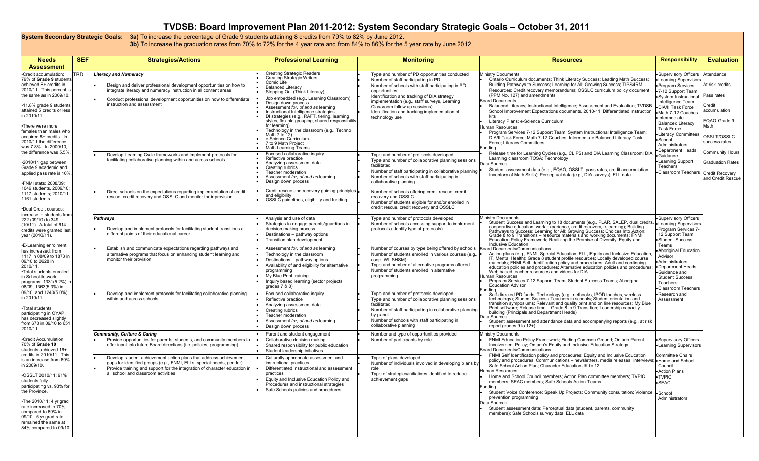## **TVDSB: Board Improvement Plan 2011-2012: System Secondary Strategic Goals – October 31, 2011**

System Secondary Strategic Goals: 3a) To increase the percentage of Grade 9 students attaining 8 credits from 79% to 82% by June 2012.<br>3b) To increase the graduation rates from 70% to 72% for the 4 year rate and from 84% t

| <b>Needs</b><br><b>Assessment</b>                                                                                                                                                                                                                                                                                                                               | <b>SEF</b> | <b>Strategies/Actions</b>                                                                                                                                                                                                                                                                                                                                                                                         | <b>Professional Learning</b>                                                                                                                                                                                                                                                                                                                                                                                                                                                                                                                                                                                             | <b>Monitoring</b>                                                                                                                                                                                                                                                                                                                                                                                                                                             | <b>Resources</b>                                                                                                                                                                                                                                                                                                                                                                                                                                                                                                                                                                                                                                                                                                                                                                                                                                                                                                                                                                                                       | <b>Responsibility</b>                                                                                                                                                                                                                                                                                                                                               | <b>Evaluation</b>                                                                                                                                       |
|-----------------------------------------------------------------------------------------------------------------------------------------------------------------------------------------------------------------------------------------------------------------------------------------------------------------------------------------------------------------|------------|-------------------------------------------------------------------------------------------------------------------------------------------------------------------------------------------------------------------------------------------------------------------------------------------------------------------------------------------------------------------------------------------------------------------|--------------------------------------------------------------------------------------------------------------------------------------------------------------------------------------------------------------------------------------------------------------------------------------------------------------------------------------------------------------------------------------------------------------------------------------------------------------------------------------------------------------------------------------------------------------------------------------------------------------------------|---------------------------------------------------------------------------------------------------------------------------------------------------------------------------------------------------------------------------------------------------------------------------------------------------------------------------------------------------------------------------------------------------------------------------------------------------------------|------------------------------------------------------------------------------------------------------------------------------------------------------------------------------------------------------------------------------------------------------------------------------------------------------------------------------------------------------------------------------------------------------------------------------------------------------------------------------------------------------------------------------------------------------------------------------------------------------------------------------------------------------------------------------------------------------------------------------------------------------------------------------------------------------------------------------------------------------------------------------------------------------------------------------------------------------------------------------------------------------------------------|---------------------------------------------------------------------------------------------------------------------------------------------------------------------------------------------------------------------------------------------------------------------------------------------------------------------------------------------------------------------|---------------------------------------------------------------------------------------------------------------------------------------------------------|
| •Credit accumulation:<br>79% of Grade 9 student<br>achieved 8+ credits in<br>2010/11. This percent is<br>the same as in 2009/10.<br>•11.8% grade 9 students<br>attained 5 credits or less<br>in 2010/11.<br>•There were more<br>females than males who<br>acquired 8+ credits. In<br>2010/11 the difference<br>was 7.8%. In 2009/10,<br>the difference was 5.5% | TBD        | <b>Literacy and Numeracy</b><br>Design and deliver professional development opportunities on how to<br>integrate literacy and numeracy instruction in all content areas<br>Conduct professional development opportunities on how to differentiate<br>instruction and assessment<br>Develop Learning Cycle frameworks and implement protocols for<br>facilitating collaborative planning within and across schools | <b>Creating Strategic Readers</b><br><b>Creating Strategic Writers</b><br>Comic Life<br><b>Balanced Literacy</b><br>Stepping Out (Think Literacy)<br>Job embedded (e.g., Learning Classroom)<br>Design down process<br>Assessment for, of and as learning<br>Instructional Intelligence strategies<br>DI strategies (e.g., RAFT, tiering, learning<br>styles, flexible grouping, shared responsibility<br>for learning)<br>Technology in the classroom (e.g., Techno<br>Math $7$ to $12$ )<br>e-Science Curriculum<br>7 to 9 Math Project<br>Math Learning Teams<br>Focused collaborative inquiry<br>Reflective practice | Type and number of PD opportunities conducted<br>Number of staff participating in PD<br>Number of schools with staff participating in PD<br>opportunities<br>Identification and tracking of DIA strategy<br>implementation (e.g., staff surveys, Learning<br>Classroom follow up sessions)<br>Identification and tracking implementation of<br>technology use<br>Type and number of protocols developed<br>Type and number of collaborative planning sessions | <b>Ministry Documents</b><br>Ontario Curriculum documents; Think Literacy Success; Leading Math Success;<br>Building Pathways to Success; Learning for All; Growing Success; TIPS4RM<br>Resources; Credit recovery memorandums; OSSLC curriculum policy document<br>(PPM No. 127) and amendments<br><b>Board Documents</b><br>Balanced Literacy; Instructional Intelligence; Assessment and Evaluation; TVDSB<br>School Improvement Expectations documents, 2010-11; Differentiated instruction<br>kite<br>Literacy Plans; e-Science Curriculum<br>luman Resources<br>Program Services 7-12 Support Team; System Instructional Intelligence Team;<br>DIA/II Task Force; Math 7-12 Coaches; Intermediate Balanced Literacy Task<br>Force: Literacy Committees<br>undina<br>Release time for Learning Cycles (e.g., CLIPS) and DIA Learning Classroom; DIA<br>Learning classroom TOSA; Technology                                                                                                                        | Supervisory Officers<br><b>Learning Supervisors</b><br>Program Services<br>7-12 Support Team<br>System Instructional<br>Intelligence Team<br>DIA/II Task Force<br>Math 7-12 Coaches<br>Intermediate<br><b>Balanced Literacy</b><br><b>Task Force</b><br><b>Literacy Committees</b><br>·School<br>Administrators<br>Department Heads<br>Guidance<br>Learning Support | Attendance<br>At risk credits<br>Pass rates<br>Credit<br>accumulation<br>EQAO Grade 9<br>Math<br>OSSLT/OSSLC<br>success rates<br><b>Community Hours</b> |
| •2010/11 gap between<br>Grade 9 academic and<br>applied pass rate is 10%<br>.FNMI stats: 2008/09:<br>1046 students, 2009/10:<br>1117 students; 2010/11<br>1161 students.<br>•Dual Credit courses:<br>increase in students from                                                                                                                                  |            | Direct schools on the expectations regarding implementation of credit<br>rescue, credit recovery and OSSLC and monitor their provision                                                                                                                                                                                                                                                                            | Analyzing assessment data<br>Creating rubrics<br>Teacher moderation<br>Assessment for, of and as learning<br>Design down process<br>Credit rescue and recovery guiding principles<br>and eligibility<br>OSSLC quidelines, eligibility and funding                                                                                                                                                                                                                                                                                                                                                                        | facilitated<br>Number of staff participating in collaborative planning<br>Number of schools with staff participating in<br>collaborative planning<br>Number of schools offering credit rescue, credit<br>recovery and OSSLC<br>Number of students eligible for and/or enrolled in<br>credit rescue, credit recovery and OSSLC                                                                                                                                 | ata Sources<br>Student assessment data (e.g., EQAO, OSSLT, pass rates, credit accumulation<br>Inventory of Math Skills); Perceptual data (e.g., DIA surveys); ELL data                                                                                                                                                                                                                                                                                                                                                                                                                                                                                                                                                                                                                                                                                                                                                                                                                                                 | Teachers<br>Classroom Teachers                                                                                                                                                                                                                                                                                                                                      | <b>Graduation Rates</b><br><b>Credit Recovery</b><br>and Credit Rescue                                                                                  |
| 222 (09/10) to 349<br>(10/11). A total of 614<br>credits were granted last<br>year (2010/11).<br><b>-E-Learning enrolment</b>                                                                                                                                                                                                                                   |            | Pathways<br>Develop and implement protocols for facilitating student transitions at<br>different points of their educational career                                                                                                                                                                                                                                                                               | Analysis and use of data<br>Strategies to engage parents/guardians in<br>decision making process<br>Destinations - pathway options<br>Transition plan development                                                                                                                                                                                                                                                                                                                                                                                                                                                        | Type and number of protocols developed<br>Number of schools accessing support to implement<br>protocols (identify type of protocols)                                                                                                                                                                                                                                                                                                                          | <b>Ministry Documents</b><br>Student Success and Learning to 18 documents (e.g., PLAR, SALEP, dual credit<br>cooperative education, work experience, credit recovery, e-learning); Building<br>Pathways to Success; Learning for All; Growing Success; Choices Into Action;<br>Grade 8 to 9 Transitions - resource materials and working documents; FNMI<br>Education Policy Framework; Realizing the Promise of Diversity; Equity and<br>Inclusive Education<br>bard Documents/Communications<br>Action plans (e.g., FNMI, Special Education, ELL, Equity and Inclusive Education<br>IT, Mental Health); Grade 8 student profile resources; Locally developed course<br>materials; FNMI Self Identification policy and procedures; Adult and continuing<br>education policies and procedures; Alternative education policies and procedures;<br>Web based teacher resources and videos for DIA<br>uman Resources<br>Program Services 7-12 Support Team; Student Success Teams; Aboriginal<br><b>Education Advisor</b> | • Supervisory Officers<br>Learning Supervisors<br>Program Services 7-<br>12 Support Team<br>·Student Success<br>Teams<br>Aboriginal Education<br>Advisor<br>Administrators<br>• Department Heads<br>Guidance and<br><b>Student Success</b><br>Teachers<br>Classroom Teachers                                                                                        |                                                                                                                                                         |
| has increased: from<br>1117 in 08/09 to 1873 in<br>09/10 to 2628 in<br>2010/11.<br>•Total students enrolled<br>in School-to-work<br>programs: 1331(5.2%) ir<br>08/09, 1363(5.3%) in                                                                                                                                                                             |            | Establish and communicate expectations regarding pathways and<br>alternative programs that focus on enhancing student learning and<br>monitor their provision                                                                                                                                                                                                                                                     | Assessment for, of and as learning<br>Technology in the classroom<br>Destinations - pathway options<br>Availability of and eligibility for alternative<br>programming<br>My Blue Print training<br>Inquiry based learning (sector projects<br>grades $7$ & $8$ )                                                                                                                                                                                                                                                                                                                                                         | Number of courses by type being offered by schools<br>Number of students enrolled in various courses (e.g.,<br>coop, WI, SHSM)<br>Type and number of alternative programs offered<br>Number of students enrolled in alternative<br>programming                                                                                                                                                                                                                |                                                                                                                                                                                                                                                                                                                                                                                                                                                                                                                                                                                                                                                                                                                                                                                                                                                                                                                                                                                                                        |                                                                                                                                                                                                                                                                                                                                                                     |                                                                                                                                                         |
| 09/10, and 1240(5.0%)<br>in 2010/11.<br>•Total students<br>participating in OYAP<br>has decreased slightly<br>from 678 in 09/10 to 651<br>$2010/11$ .                                                                                                                                                                                                           |            | Develop and implement protocols for facilitating collaborative planning<br>within and across schools                                                                                                                                                                                                                                                                                                              | Focused collaborative inquiry<br>Reflective practice<br>Analyzing assessment data<br>Creating rubrics<br>Teacher moderation<br>Assessment for, of and as learning<br>Design down process                                                                                                                                                                                                                                                                                                                                                                                                                                 | Type and number of protocols developed<br>Type and number of collaborative planning sessions<br>facilitated<br>Number of staff participating in collaborative planning<br>by panel<br>Number of schools with staff participating in<br>collaborative planning                                                                                                                                                                                                 | ınding<br>Self-directed PD funds; Technology (e.g., netbooks, IPOD touches, wireless<br>technology); Student Success Teachers in schools; Student orientation and<br>transition symposiums; Relevant and quality print and on line resources; My Blue<br>Print software; Release time – Grade 8 to 9 Transition; Leadership capacity<br>building (Principals and Department Heads)<br>Data Sources<br>Student assessment and attendance data and accompanying reports (e.g., at risk<br>report grades 9 to 12+)                                                                                                                                                                                                                                                                                                                                                                                                                                                                                                        | Research and<br>Assessment                                                                                                                                                                                                                                                                                                                                          |                                                                                                                                                         |
| •Credit Accumulation:<br>70% of Grade 10<br>students achieved 16+<br>credits in 2010/11. This                                                                                                                                                                                                                                                                   |            | <b>Community, Culture &amp; Caring</b><br>Provide opportunities for parents, students, and community members to<br>offer input into future Board directions (i.e. policies, programming)                                                                                                                                                                                                                          | Parent and student engagement<br>Collaborative decision making<br>Shared responsibility for public education<br>Student leadership initiatives                                                                                                                                                                                                                                                                                                                                                                                                                                                                           | Number and type of opportunities provided<br>Number of participants by role                                                                                                                                                                                                                                                                                                                                                                                   | <b>Ministry Documents</b><br>FNMI Education Policy Framework; Finding Common Ground; Ontario Parent<br>Involvement Policy; Ontario's Equity and Inclusive Education Strategy<br>oard Documents/Communications                                                                                                                                                                                                                                                                                                                                                                                                                                                                                                                                                                                                                                                                                                                                                                                                          | Supervisory Officers<br><b>Learning Supervisors</b>                                                                                                                                                                                                                                                                                                                 |                                                                                                                                                         |
| is an increase from 69%<br>in 2009/10.<br>•OSSLT 2010/11: 91%<br>students fully<br>participating vs. 93% for<br>the Province.<br>.The 2010/11: 4 yr grad<br>rate increased to 70%<br>compared to 69% in<br>09/10. 5 yr grad rate<br>remained the same at<br>84% compared to 09/10                                                                               |            | Develop student achievement action plans that address achievement<br>gaps for identified groups (e.g., FNMI, ELLs, special needs, gender)<br>Provide training and support for the integration of character education in<br>all school and classroom activities                                                                                                                                                    | Culturally appropriate assessment and<br>instructional practices<br>Differentiated instructional and assessment<br>practices<br>Equity and Inclusive Education Policy and<br>Procedures and instructional strategies<br>Safe Schools policies and procedures                                                                                                                                                                                                                                                                                                                                                             | Type of plans developed<br>Number of individuals involved in developing plans by<br>role<br>Type of strategies/initiatives identified to reduce<br>achievement gaps                                                                                                                                                                                                                                                                                           | FNMI Self Identification policy and procedures; Equity and Inclusive Education<br>policy and procedures; Communications - newsletters, media releases, interviews; $\bullet$ Home and School<br>Safe School Action Plan: Character Education JK to 12<br><b>Human Resources</b><br>Home and School Council members; Action Plan committee members; TVPIC<br>members; SEAC members; Safe Schools Action Teams<br>undina<br>Student Voice Conference; Speak Up Projects; Community consultation; Violence<br>prevention programming<br>ata Sources<br>Student assessment data; Perceptual data (student, parents, community<br>members); Safe Schools survey data; ELL data                                                                                                                                                                                                                                                                                                                                              | <b>Committee Chairs</b><br>Council<br>Action Plans<br>•TVPIC<br>$\bullet$ SEAC<br>·School<br>Administrators                                                                                                                                                                                                                                                         |                                                                                                                                                         |